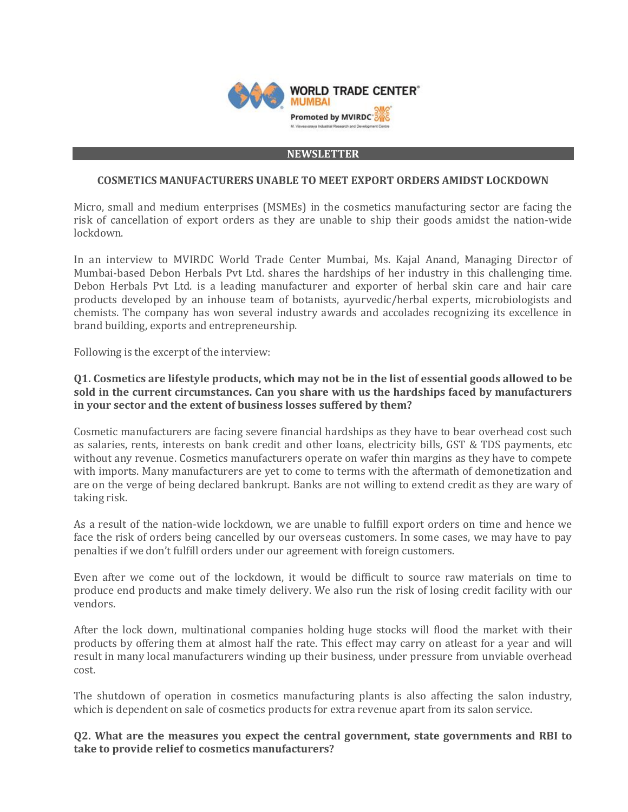

#### **NEWSLETTER**

### **COSMETICS MANUFACTURERS UNABLE TO MEET EXPORT ORDERS AMIDST LOCKDOWN**

Micro, small and medium enterprises (MSMEs) in the cosmetics manufacturing sector are facing the risk of cancellation of export orders as they are unable to ship their goods amidst the nation-wide lockdown.

In an interview to MVIRDC World Trade Center Mumbai, Ms. Kajal Anand, Managing Director of Mumbai-based Debon Herbals Pvt Ltd. shares the hardships of her industry in this challenging time. Debon Herbals Pvt Ltd. is a leading manufacturer and exporter of herbal skin care and hair care products developed by an inhouse team of botanists, ayurvedic/herbal experts, microbiologists and chemists. The company has won several industry awards and accolades recognizing its excellence in brand building, exports and entrepreneurship.

Following is the excerpt of the interview:

### **Q1. Cosmetics are lifestyle products, which may not be in the list of essential goods allowed to be sold in the current circumstances. Can you share with us the hardships faced by manufacturers in your sector and the extent of business losses suffered by them?**

Cosmetic manufacturers are facing severe financial hardships as they have to bear overhead cost such as salaries, rents, interests on bank credit and other loans, electricity bills, GST & TDS payments, etc without any revenue. Cosmetics manufacturers operate on wafer thin margins as they have to compete with imports. Many manufacturers are yet to come to terms with the aftermath of demonetization and are on the verge of being declared bankrupt. Banks are not willing to extend credit as they are wary of taking risk.

As a result of the nation-wide lockdown, we are unable to fulfill export orders on time and hence we face the risk of orders being cancelled by our overseas customers. In some cases, we may have to pay penalties if we don't fulfill orders under our agreement with foreign customers.

Even after we come out of the lockdown, it would be difficult to source raw materials on time to produce end products and make timely delivery. We also run the risk of losing credit facility with our vendors.

After the lock down, multinational companies holding huge stocks will flood the market with their products by offering them at almost half the rate. This effect may carry on atleast for a year and will result in many local manufacturers winding up their business, under pressure from unviable overhead cost.

The shutdown of operation in cosmetics manufacturing plants is also affecting the salon industry, which is dependent on sale of cosmetics products for extra revenue apart from its salon service.

**Q2. What are the measures you expect the central government, state governments and RBI to take to provide relief to cosmetics manufacturers?**